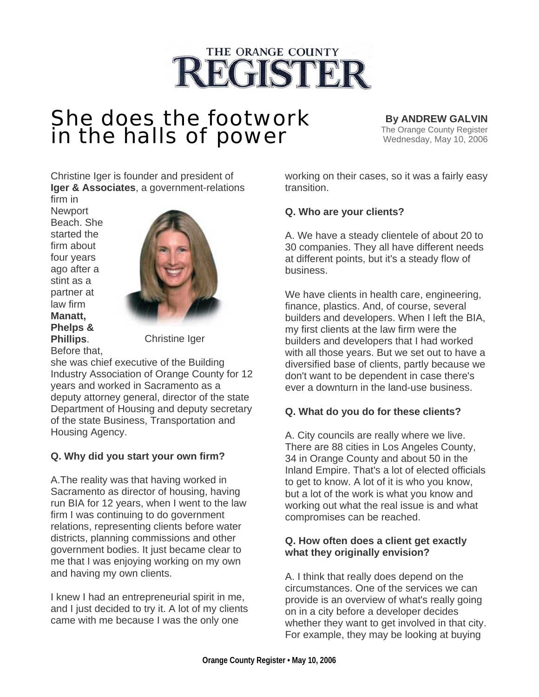# THE ORANGE COUNTY **REGISTER**

## She does the footwork in the halls of power

**By ANDREW GALVIN**<br>The Orange County Register Wednesday, May 10, 2006

Christine Iger is founder and president of **Iger & Associates**, a government-relations firm in

**Newport** Beach. She started the firm about four years ago after a stint as a partner at law firm **Manatt, Phelps & Phillips**. Before that,



Christine Iger

she was chief executive of the Building Industry Association of Orange County for 12 years and worked in Sacramento as a deputy attorney general, director of the state Department of Housing and deputy secretary of the state Business, Transportation and Housing Agency.

### **Q. Why did you start your own firm?**

A.The reality was that having worked in Sacramento as director of housing, having run BIA for 12 years, when I went to the law firm I was continuing to do government relations, representing clients before water districts, planning commissions and other government bodies. It just became clear to me that I was enjoying working on my own and having my own clients.

I knew I had an entrepreneurial spirit in me, and I just decided to try it. A lot of my clients came with me because I was the only one

working on their cases, so it was a fairly easy transition.

#### **Q. Who are your clients?**

A. We have a steady clientele of about 20 to 30 companies. They all have different needs at different points, but it's a steady flow of business.

We have clients in health care, engineering, finance, plastics. And, of course, several builders and developers. When I left the BIA, my first clients at the law firm were the builders and developers that I had worked with all those years. But we set out to have a diversified base of clients, partly because we don't want to be dependent in case there's ever a downturn in the land-use business.

#### **Q. What do you do for these clients?**

A. City councils are really where we live. There are 88 cities in Los Angeles County, 34 in Orange County and about 50 in the Inland Empire. That's a lot of elected officials to get to know. A lot of it is who you know, but a lot of the work is what you know and working out what the real issue is and what compromises can be reached.

#### **Q. How often does a client get exactly what they originally envision?**

A. I think that really does depend on the circumstances. One of the services we can provide is an overview of what's really going on in a city before a developer decides whether they want to get involved in that city. For example, they may be looking at buying